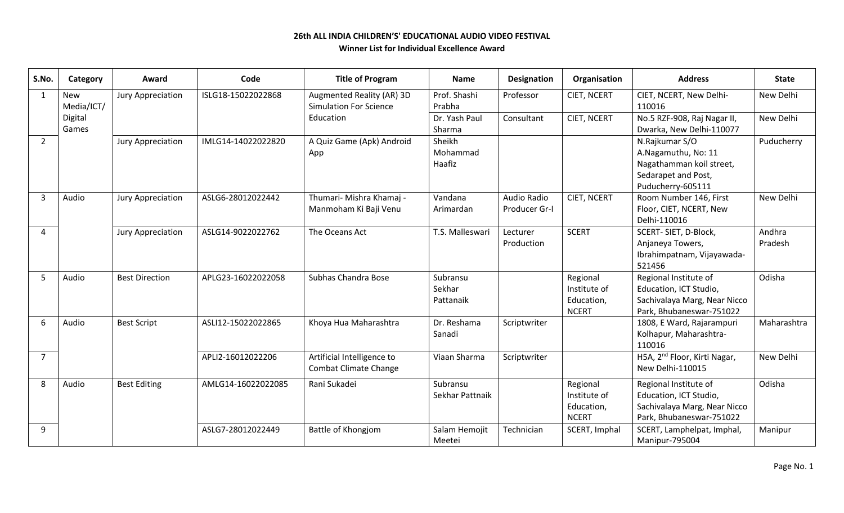## **26th ALL INDIA CHILDREN'S' EDUCATIONAL AUDIO VIDEO FESTIVAL Winner List for Individual Excellence Award**

| S.No.          | Category   | Award                    | Code               | <b>Title of Program</b>       | <b>Name</b>     | <b>Designation</b> | Organisation       | <b>Address</b>                           | <b>State</b> |
|----------------|------------|--------------------------|--------------------|-------------------------------|-----------------|--------------------|--------------------|------------------------------------------|--------------|
| $\mathbf 1$    | <b>New</b> | <b>Jury Appreciation</b> | ISLG18-15022022868 | Augmented Reality (AR) 3D     | Prof. Shashi    | Professor          | CIET, NCERT        | CIET, NCERT, New Delhi-                  | New Delhi    |
|                | Media/ICT/ |                          |                    | <b>Simulation For Science</b> | Prabha          |                    |                    | 110016                                   |              |
|                | Digital    |                          |                    | Education                     | Dr. Yash Paul   | Consultant         | CIET, NCERT        | No.5 RZF-908, Raj Nagar II,              | New Delhi    |
|                | Games      |                          |                    |                               | Sharma          |                    |                    | Dwarka, New Delhi-110077                 |              |
| $\overline{2}$ |            | Jury Appreciation        | IMLG14-14022022820 | A Quiz Game (Apk) Android     | Sheikh          |                    |                    | N.Rajkumar S/O                           | Puducherry   |
|                |            |                          |                    | App                           | Mohammad        |                    |                    | A.Nagamuthu, No: 11                      |              |
|                |            |                          |                    |                               | Haafiz          |                    |                    | Nagathamman koil street,                 |              |
|                |            |                          |                    |                               |                 |                    |                    | Sedarapet and Post,                      |              |
|                |            |                          |                    |                               |                 |                    |                    | Puducherry-605111                        |              |
| 3              | Audio      | Jury Appreciation        | ASLG6-28012022442  | Thumari- Mishra Khamaj -      | Vandana         | Audio Radio        | <b>CIET, NCERT</b> | Room Number 146, First                   | New Delhi    |
|                |            |                          |                    | Manmoham Ki Baji Venu         | Arimardan       | Producer Gr-I      |                    | Floor, CIET, NCERT, New                  |              |
|                |            |                          |                    |                               |                 |                    |                    | Delhi-110016                             |              |
| Δ              |            | Jury Appreciation        | ASLG14-9022022762  | The Oceans Act                | T.S. Malleswari | Lecturer           | <b>SCERT</b>       | SCERT-SIET, D-Block,                     | Andhra       |
|                |            |                          |                    |                               |                 | Production         |                    | Anjaneya Towers,                         | Pradesh      |
|                |            |                          |                    |                               |                 |                    |                    | Ibrahimpatnam, Vijayawada-               |              |
|                |            |                          |                    |                               |                 |                    |                    | 521456                                   |              |
| -5             | Audio      | <b>Best Direction</b>    | APLG23-16022022058 | Subhas Chandra Bose           | Subransu        |                    | Regional           | Regional Institute of                    | Odisha       |
|                |            |                          |                    |                               | Sekhar          |                    | Institute of       | Education, ICT Studio,                   |              |
|                |            |                          |                    |                               | Pattanaik       |                    | Education,         | Sachivalaya Marg, Near Nicco             |              |
|                |            |                          |                    |                               |                 |                    | <b>NCERT</b>       | Park, Bhubaneswar-751022                 |              |
| 6              | Audio      | <b>Best Script</b>       | ASLI12-15022022865 | Khoya Hua Maharashtra         | Dr. Reshama     | Scriptwriter       |                    | 1808, E Ward, Rajarampuri                | Maharashtra  |
|                |            |                          |                    |                               | Sanadi          |                    |                    | Kolhapur, Maharashtra-                   |              |
|                |            |                          |                    |                               |                 |                    |                    | 110016                                   |              |
| $\overline{7}$ |            |                          | APLI2-16012022206  | Artificial Intelligence to    | Viaan Sharma    | Scriptwriter       |                    | H5A, 2 <sup>nd</sup> Floor, Kirti Nagar, | New Delhi    |
|                |            |                          |                    | <b>Combat Climate Change</b>  |                 |                    |                    | New Delhi-110015                         |              |
| 8              | Audio      | <b>Best Editing</b>      | AMLG14-16022022085 | Rani Sukadei                  | Subransu        |                    | Regional           | Regional Institute of                    | Odisha       |
|                |            |                          |                    |                               | Sekhar Pattnaik |                    | Institute of       | Education, ICT Studio,                   |              |
|                |            |                          |                    |                               |                 |                    | Education,         | Sachivalaya Marg, Near Nicco             |              |
|                |            |                          |                    |                               |                 |                    | <b>NCERT</b>       | Park, Bhubaneswar-751022                 |              |
| 9              |            |                          | ASLG7-28012022449  | Battle of Khongjom            | Salam Hemojit   | Technician         | SCERT, Imphal      | SCERT, Lamphelpat, Imphal,               | Manipur      |
|                |            |                          |                    |                               | Meetei          |                    |                    | Manipur-795004                           |              |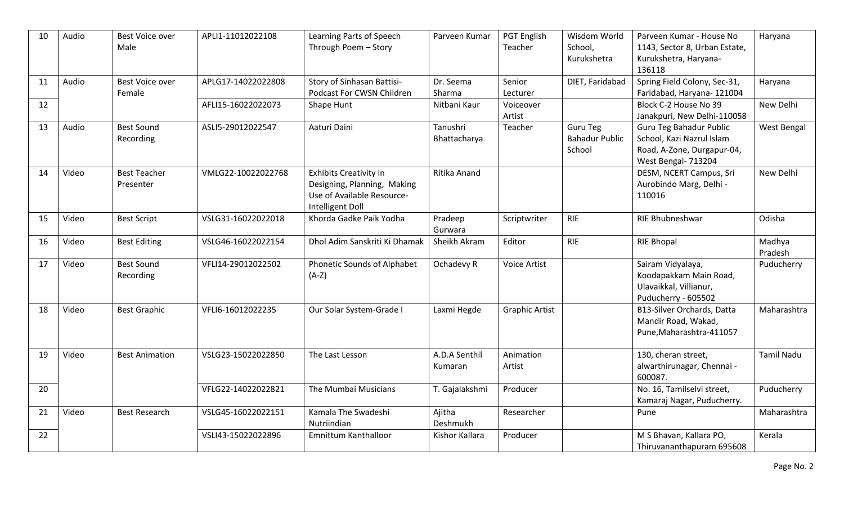| 10 | Audio | Best Voice over<br>Male          | APLI1-11012022108  | Learning Parts of Speech<br>Through Poem - Story                                                               | Parveen Kumar            | <b>PGT English</b><br>Teacher | Wisdom World<br>School,<br>Kurukshetra             | Parveen Kumar - House No<br>1143, Sector 8, Urban Estate,<br>Kurukshetra, Haryana-<br>136118              | Haryana           |
|----|-------|----------------------------------|--------------------|----------------------------------------------------------------------------------------------------------------|--------------------------|-------------------------------|----------------------------------------------------|-----------------------------------------------------------------------------------------------------------|-------------------|
| 11 | Audio | Best Voice over<br>Female        | APLG17-14022022808 | Story of Sinhasan Battisi-<br>Podcast For CWSN Children                                                        | Dr. Seema<br>Sharma      | Senior<br>Lecturer            | DIET, Faridabad                                    | Spring Field Colony, Sec-31,<br>Faridabad, Haryana- 121004                                                | Haryana           |
| 12 |       |                                  | AFLI15-16022022073 | Shape Hunt                                                                                                     | Nitbani Kaur             | Voiceover<br>Artist           |                                                    | Block C-2 House No 39<br>Janakpuri, New Delhi-110058                                                      | New Delhi         |
| 13 | Audio | <b>Best Sound</b><br>Recording   | ASLI5-29012022547  | Aaturi Daini                                                                                                   | Tanushri<br>Bhattacharya | Teacher                       | <b>Guru Teg</b><br><b>Bahadur Public</b><br>School | Guru Teg Bahadur Public<br>School, Kazi Nazrul Islam<br>Road, A-Zone, Durgapur-04,<br>West Bengal- 713204 | West Bengal       |
| 14 | Video | <b>Best Teacher</b><br>Presenter | VMLG22-10022022768 | <b>Exhibits Creativity in</b><br>Designing, Planning, Making<br>Use of Available Resource-<br>Intelligent Doll | Ritika Anand             |                               |                                                    | DESM, NCERT Campus, Sri<br>Aurobindo Marg, Delhi -<br>110016                                              | New Delhi         |
| 15 | Video | <b>Best Script</b>               | VSLG31-16022022018 | Khorda Gadke Paik Yodha                                                                                        | Pradeep<br>Gurwara       | Scriptwriter                  | <b>RIE</b>                                         | RIE Bhubneshwar                                                                                           | Odisha            |
| 16 | Video | <b>Best Editing</b>              | VSLG46-16022022154 | Dhol Adim Sanskriti Ki Dhamak                                                                                  | Sheikh Akram             | Editor                        | <b>RIE</b>                                         | <b>RIE Bhopal</b>                                                                                         | Madhya<br>Pradesh |
| 17 | Video | <b>Best Sound</b><br>Recording   | VFLI14-29012022502 | Phonetic Sounds of Alphabet<br>$(A-Z)$                                                                         | Ochadevy R               | <b>Voice Artist</b>           |                                                    | Sairam Vidyalaya,<br>Koodapakkam Main Road,<br>Ulavaikkal, Villianur,<br>Puducherry - 605502              | Puducherry        |
| 18 | Video | <b>Best Graphic</b>              | VFLI6-16012022235  | Our Solar System-Grade I                                                                                       | Laxmi Hegde              | <b>Graphic Artist</b>         |                                                    | B13-Silver Orchards, Datta<br>Mandir Road, Wakad,<br>Pune, Maharashtra-411057                             | Maharashtra       |
| 19 | Video | <b>Best Animation</b>            | VSLG23-15022022850 | The Last Lesson                                                                                                | A.D.A Senthil<br>Kumaran | Animation<br>Artist           |                                                    | 130, cheran street,<br>alwarthirunagar, Chennai -<br>600087.                                              | <b>Tamil Nadu</b> |
| 20 |       |                                  | VFLG22-14022022821 | The Mumbai Musicians                                                                                           | T. Gajalakshmi           | Producer                      |                                                    | No. 16, Tamilselvi street,<br>Kamaraj Nagar, Puducherry.                                                  | Puducherry        |
| 21 | Video | <b>Best Research</b>             | VSLG45-16022022151 | Kamala The Swadeshi<br>Nutriindian                                                                             | Ajitha<br>Deshmukh       | Researcher                    |                                                    | Pune                                                                                                      | Maharashtra       |
| 22 |       |                                  | VSLI43-15022022896 | Emnittum Kanthalloor                                                                                           | Kishor Kallara           | Producer                      |                                                    | M S Bhavan, Kallara PO,<br>Thiruvananthapuram 695608                                                      | Kerala            |